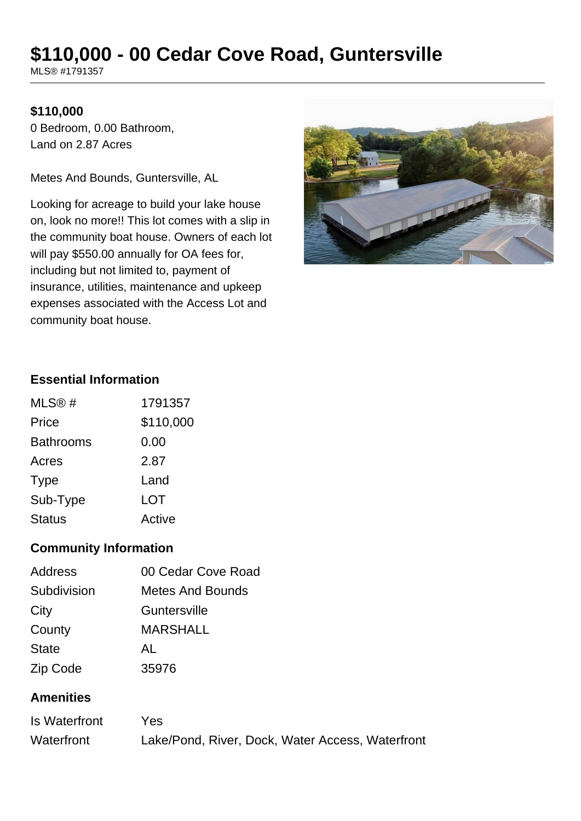# **\$110,000 - 00 Cedar Cove Road, Guntersville**

MLS® #1791357

## **\$110,000**

0 Bedroom, 0.00 Bathroom, Land on 2.87 Acres

Metes And Bounds, Guntersville, AL

Looking for acreage to build your lake house on, look no more!! This lot comes with a slip in the community boat house. Owners of each lot will pay \$550.00 annually for OA fees for, including but not limited to, payment of insurance, utilities, maintenance and upkeep expenses associated with the Access Lot and community boat house.



## **Essential Information**

| MLS@#            | 1791357   |
|------------------|-----------|
| Price            | \$110,000 |
| <b>Bathrooms</b> | 0.00      |
| Acres            | 2.87      |
| <b>Type</b>      | Land      |
| Sub-Type         | LOT       |
| <b>Status</b>    | Active    |

## **Community Information**

| 00 Cedar Cove Road      |
|-------------------------|
| <b>Metes And Bounds</b> |
| Guntersville            |
| <b>MARSHALL</b>         |
| AL                      |
| 35976                   |
|                         |

#### **Amenities**

| Is Waterfront | Yes.                                             |
|---------------|--------------------------------------------------|
| Waterfront    | Lake/Pond, River, Dock, Water Access, Waterfront |